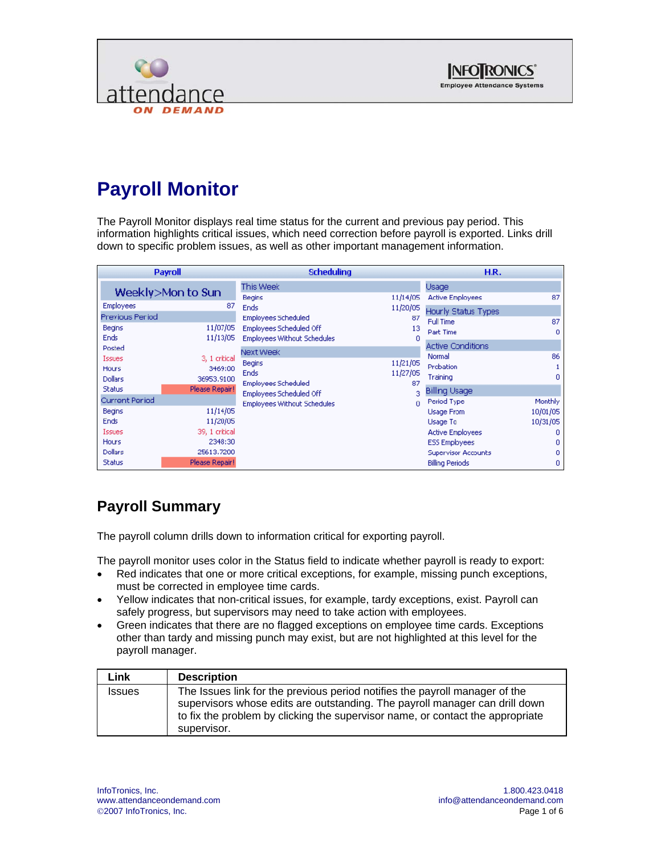



# **Payroll Monitor**

The Payroll Monitor displays real time status for the current and previous pay period. This information highlights critical issues, which need correction before payroll is exported. Links drill down to specific problem issues, as well as other important management information.

|                       | <b>Payroll</b>    | <b>Scheduling</b>                  |          | H.R.                       |          |
|-----------------------|-------------------|------------------------------------|----------|----------------------------|----------|
|                       | Weekly>Mon to Sun | <b>This Week</b>                   |          | Usage                      |          |
|                       |                   | Begins                             | 11/14/05 | <b>Active Employees</b>    | 87       |
| <b>Employees</b>      | 87                | <b>Ends</b>                        | 11/20/05 | Hourly Status Types        |          |
| Previous Period       |                   | <b>Employees Scheduled</b>         | 87       | Full Time                  | 87       |
| Begins                | 11/07/05          | Employees Scheduled Off            | 13       | Part Time                  | $\Omega$ |
| Ends                  | 11/13/05          | <b>Employees Without Schedules</b> | Ω        |                            |          |
| Posted                |                   | Next Week                          |          | <b>Active Conditions</b>   |          |
| <b>Issues</b>         | 3, 1 critical     | Begins                             | 11/21/05 | Normal                     | 86       |
| Hours                 | 3469:00           | <b>Ends</b>                        | 11/27/05 | Probation                  | 1        |
| <b>Dollars</b>        | 36953,9100        | <b>Employees Scheduled</b>         | 87       | Training                   | $\Omega$ |
| <b>Status</b>         | Please Repair!    | Employees Scheduled Off            | 3        | <b>Billing Usage</b>       |          |
| <b>Current Period</b> |                   | <b>Employees Without Schedules</b> | $\Omega$ | Period Type                | Monthly  |
| <b>Begins</b>         | 11/14/05          |                                    |          | <b>Usage From</b>          | 10/01/05 |
| Ends                  | 11/20/05          |                                    |          | Usage To                   | 10/31/05 |
| <b>Issues</b>         | 39. 1 critical    |                                    |          | <b>Active Employees</b>    | o        |
| Hours                 | 2348:30           |                                    |          | <b>ESS Employees</b>       | 0        |
| Dollars               | 25613,7200        |                                    |          | <b>Supervisor Accounts</b> | 0        |
| <b>Status</b>         | Please Repair!    |                                    |          | <b>Billing Periods</b>     | 0        |

## **Payroll Summary**

The payroll column drills down to information critical for exporting payroll.

The payroll monitor uses color in the Status field to indicate whether payroll is ready to export:

- Red indicates that one or more critical exceptions, for example, missing punch exceptions, must be corrected in employee time cards.
- Yellow indicates that non-critical issues, for example, tardy exceptions, exist. Payroll can safely progress, but supervisors may need to take action with employees.
- Green indicates that there are no flagged exceptions on employee time cards. Exceptions other than tardy and missing punch may exist, but are not highlighted at this level for the payroll manager.

| Link          | <b>Description</b>                                                                                                                                                                                                                                          |
|---------------|-------------------------------------------------------------------------------------------------------------------------------------------------------------------------------------------------------------------------------------------------------------|
| <b>Issues</b> | The Issues link for the previous period notifies the payroll manager of the<br>supervisors whose edits are outstanding. The payroll manager can drill down<br>to fix the problem by clicking the supervisor name, or contact the appropriate<br>supervisor. |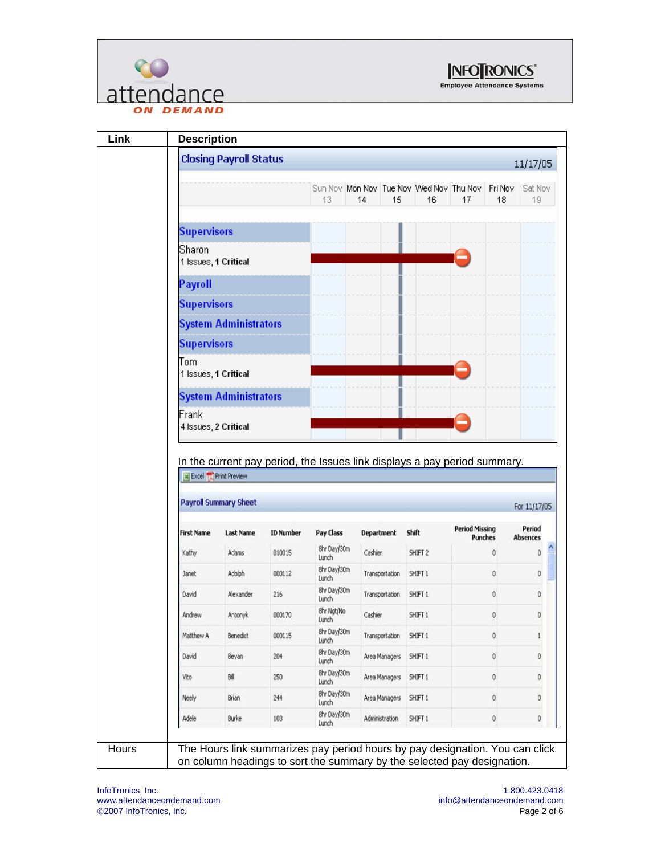



**Link Description Closing Payroll Status** 11/17/05 Sun Nov | Mon Nov | Tue Nov | Wed Nov | Thu Nov | Fri Nov | Sat Nov 13 14 15 16 17 18  $19 -$ **Supervisors** Sharon 1 Issues, 1 Critical **Payroll Supervisors System Administrators Supervisors** Tom 1 Issues, 1 Critical **System Administrators** Frank 4 Issues, 2 Critical In the current pay period, the Issues link displays a pay period summary. Excel Print Preview **Payroll Summary Sheet** For 11/17/05 **Period Missing** Period **First Name Last Name ID Number** Pay Class Department Shift Punches **Absences** 8hr Day/30m Ą  $\bf{0}$ Kathy Adams 010015 Cashier SHIFT 2 0 Lunch 8hr Day/30m Janet Adolph 000112 Transportation SHIFT 1  $\mathbf{0}$  $\bf 0$ Lunch 8hr Day/30m David Alexander 216  $\mathbf 0$  $\bf 0$ Transportation SHIFT 1 Lunch 8hr Ngt/No Andrew Antonyk 000170 Cashier SHIFT 1  $\mathbf{0}$  $\pmb{0}$ Lunch 8hr Day/30m Matthew A Benedict 000115 Transportation SHIFT 1  $\mathbf{0}$  $\,$ i Lunch 8hr Day/30m David 204 Area Managers SHIFT 1  $\mathbf{0}$  $\mathbf 0$ Bevan Lunch 8hr Day/30m Vito Bill 250 Area Managers SHIFT 1  $\mathbf{0}$  $\boldsymbol{0}$ Lunch 8hr Day/30m Neely Brian 244 Area Managers SHIFT 1  $\mathbf{0}$  $\mathbf 0$ Lunch 8hr Day/30m Adele Burke 103 Administration SHIFT 1  $\mathbf 0$  $\hat{0}$ Lunch Hours **The Hours link summarizes pay period hours by pay designation. You can click** on column headings to sort the summary by the selected pay designation.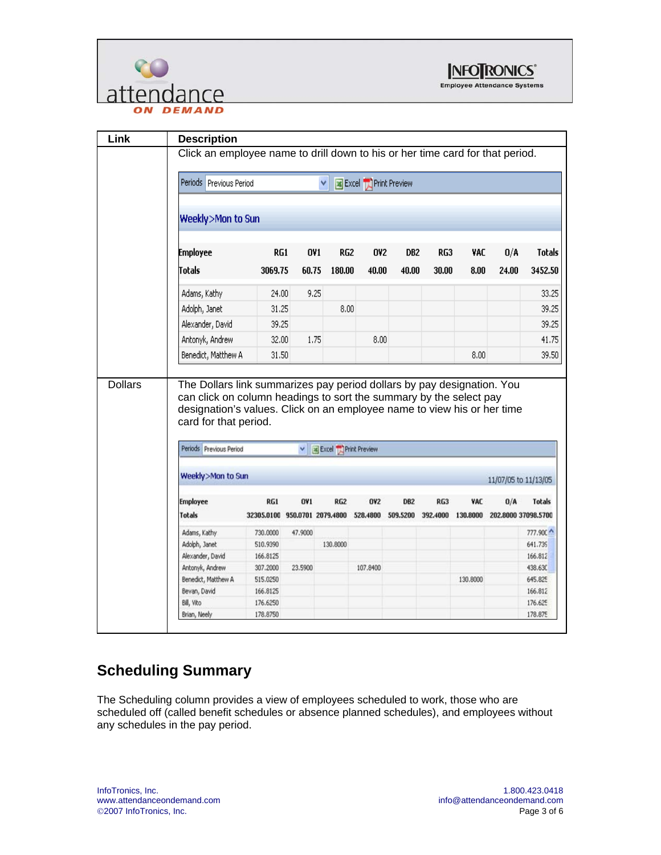



|                | <b>Description</b>                                                                                                                           |                               |         |                         |                              |                 |          |            |                      |                               |
|----------------|----------------------------------------------------------------------------------------------------------------------------------------------|-------------------------------|---------|-------------------------|------------------------------|-----------------|----------|------------|----------------------|-------------------------------|
|                | Click an employee name to drill down to his or her time card for that period.                                                                |                               |         |                         |                              |                 |          |            |                      |                               |
|                | Periods Previous Period                                                                                                                      |                               |         | ٧                       | <b>Excel T</b> Print Preview |                 |          |            |                      |                               |
|                | Weekly>Mon to Sun                                                                                                                            |                               |         |                         |                              |                 |          |            |                      |                               |
|                | <b>Employee</b>                                                                                                                              | RG1                           |         | <b>OV1</b><br>RG2       | <b>OV2</b>                   | DB2             | RG3      | VAC        | 0/A                  | <b>Totals</b>                 |
|                | Totals                                                                                                                                       | 3069.75                       | 60.75   | 180.00                  | 40.00                        | 40.00           | 30.00    | 8.00       | 24.00                | 3452.50                       |
|                | Adams, Kathy                                                                                                                                 | 24.00                         |         | 9.25                    |                              |                 |          |            |                      | 33,25                         |
|                | Adolph, Janet                                                                                                                                | 31.25                         |         | 8,00                    |                              |                 |          |            |                      | 39.25                         |
|                | Alexander, David                                                                                                                             | 39.25                         |         |                         |                              |                 |          |            |                      | 39.25                         |
|                | Antonyk, Andrew                                                                                                                              | 32.00                         |         | 1.75                    | 8,00                         |                 |          |            |                      | 41.75                         |
|                | Benedict, Matthew A                                                                                                                          | 31.50                         |         |                         |                              |                 |          |            |                      |                               |
| <b>Dollars</b> | The Dollars link summarizes pay period dollars by pay designation. You<br>can click on column headings to sort the summary by the select pay |                               |         |                         |                              |                 |          | 8.00       |                      |                               |
|                | designation's values. Click on an employee name to view his or her time<br>card for that period.                                             |                               |         |                         |                              |                 |          |            |                      |                               |
|                | Periods Previous Period                                                                                                                      |                               |         | v a Excel Print Preview |                              |                 |          |            |                      |                               |
|                | Weekly>Mon to Sun                                                                                                                            |                               |         |                         |                              |                 |          |            | 11/07/05 to 11/13/05 |                               |
|                | <b>Employee</b>                                                                                                                              | RG1                           | OV1     | <b>RG2</b>              | <b>OV2</b>                   | DB <sub>2</sub> | RG3      | <b>VAC</b> | 0/A                  | <b>Totals</b>                 |
|                | <b>Totals</b>                                                                                                                                | 32305.0100 950.0701 2079.4800 |         |                         | 528,4800                     | 509.5200        | 392.4000 | 130,8000   | 202.8000 37098.5700  |                               |
|                | Adams, Kathy                                                                                                                                 | 730.0000                      | 47,9000 |                         |                              |                 |          |            |                      |                               |
|                | Adolph, Janet                                                                                                                                | 510.9390                      |         | 130,8000                |                              |                 |          |            |                      | 641.739                       |
|                | Alexander, David                                                                                                                             | 166.8125                      |         |                         |                              |                 |          |            |                      | 166.812                       |
|                | Antonyk, Andrew                                                                                                                              | 307.2000                      | 23,5900 |                         | 107.8400                     |                 |          |            |                      | 438.63C                       |
|                | Benedict, Matthew A                                                                                                                          | 515.0250                      |         |                         |                              |                 |          | 130,8000   |                      | 645,825                       |
|                | Bevan, David                                                                                                                                 | 166.8125                      |         |                         |                              |                 |          |            |                      | 39,50<br>777,900 ^<br>166.812 |
|                | Bill, Vito<br>Brian, Neely                                                                                                                   | 176.6250<br>178.8750          |         |                         |                              |                 |          |            |                      | 176.625<br>178.875            |

### **Scheduling Summary**

The Scheduling column provides a view of employees scheduled to work, those who are scheduled off (called benefit schedules or absence planned schedules), and employees without any schedules in the pay period.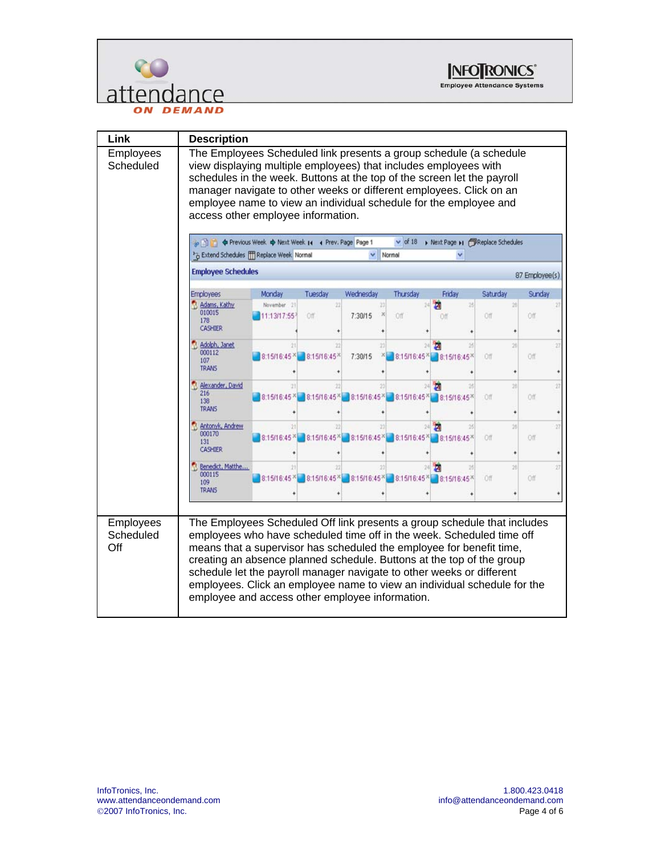



| Link                          | <b>Description</b>                                                                                                                                                                                                                                                                                                                                                                                                                                                                                         |                |  |  |  |  |  |  |  |  |
|-------------------------------|------------------------------------------------------------------------------------------------------------------------------------------------------------------------------------------------------------------------------------------------------------------------------------------------------------------------------------------------------------------------------------------------------------------------------------------------------------------------------------------------------------|----------------|--|--|--|--|--|--|--|--|
| Employees<br>Scheduled        | The Employees Scheduled link presents a group schedule (a schedule<br>view displaying multiple employees) that includes employees with<br>schedules in the week. Buttons at the top of the screen let the payroll<br>manager navigate to other weeks or different employees. Click on an<br>employee name to view an individual schedule for the employee and<br>access other employee information.                                                                                                        |                |  |  |  |  |  |  |  |  |
|                               | $\vee$ of 18<br>> Next Page >1 / Replace Schedules<br>Previous Week & Next Week 14 4 Prev. Page Page 1<br>>> Extend Schedules FFF Replace Week Normal<br>Normal                                                                                                                                                                                                                                                                                                                                            |                |  |  |  |  |  |  |  |  |
|                               | <b>Employee Schedules</b>                                                                                                                                                                                                                                                                                                                                                                                                                                                                                  | 87 Employee(s) |  |  |  |  |  |  |  |  |
|                               | Tuesday<br>Thursday<br>Friday<br>Saturday<br><b>Employees</b><br>Monday<br>Wednesday<br>Sunday                                                                                                                                                                                                                                                                                                                                                                                                             |                |  |  |  |  |  |  |  |  |
|                               | Adams, Kathy<br>November 21<br>32<br>ħ<br>36<br>26<br>010015<br>7:30/15<br>$\mathbb{X}$<br>Off<br>1:13/17:55<br>Off.<br>Off<br>Off<br>Off<br>178<br><b>CASHIER</b>                                                                                                                                                                                                                                                                                                                                         |                |  |  |  |  |  |  |  |  |
|                               | Adolph, Janet<br>м<br>000112<br>8:15/16:45 <sup>×</sup> 8:15/16:45 <sup>×</sup><br>7:30/15<br>×<br>8:15/16:45* 8:15/16:45*<br>Off<br>Off<br>107<br><b>TRANS</b>                                                                                                                                                                                                                                                                                                                                            |                |  |  |  |  |  |  |  |  |
|                               | Alexander, David<br>216<br>8:15/16:45 <sup>×</sup> 8:15/16:45 <sup>×</sup> 8:15/16:45 <sup>×</sup> 8:15/16:45 <sup>×</sup> 8:15/16:45 <sup>×</sup> 8:15/16:45 <sup>×</sup><br>Off<br>Off<br>138<br><b>TRANS</b>                                                                                                                                                                                                                                                                                            |                |  |  |  |  |  |  |  |  |
|                               | Antonyk, Andrew<br>000170<br>8:15/16:45 <sup>×</sup> 8:15/16:45 <sup>×</sup> 8:15/16:45 <sup>×</sup> 8:15/16:45 <sup>×</sup><br>8:15/16:45 <sup>×</sup><br>Off<br>Off<br>131<br>CASHIER                                                                                                                                                                                                                                                                                                                    |                |  |  |  |  |  |  |  |  |
|                               | Benedict, Matthe<br>А<br>000115<br>8:15/16:45<br>8:15/16:45* 8:15/16:45* 8:15/16:45* 8:15/16:45*<br>Off<br>Off<br>109<br><b>TRANS</b>                                                                                                                                                                                                                                                                                                                                                                      |                |  |  |  |  |  |  |  |  |
| Employees<br>Scheduled<br>Off | The Employees Scheduled Off link presents a group schedule that includes<br>employees who have scheduled time off in the week. Scheduled time off<br>means that a supervisor has scheduled the employee for benefit time,<br>creating an absence planned schedule. Buttons at the top of the group<br>schedule let the payroll manager navigate to other weeks or different<br>employees. Click an employee name to view an individual schedule for the<br>employee and access other employee information. |                |  |  |  |  |  |  |  |  |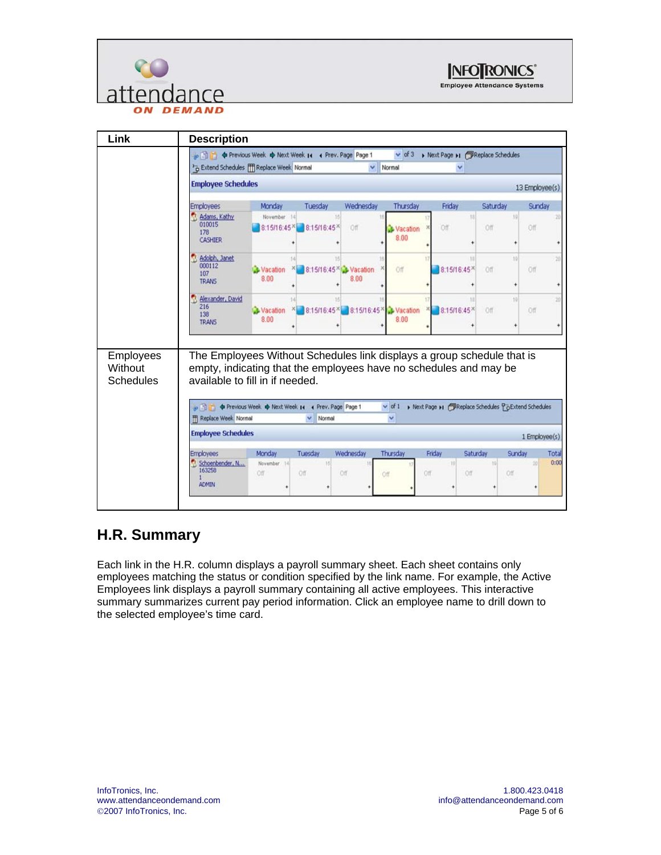



| Link                                     | <b>Description</b>                                                                                                                                                             |                                                                                                                                                                                                                     |                         |                                  |                  |                                                   |                |                |  |  |  |
|------------------------------------------|--------------------------------------------------------------------------------------------------------------------------------------------------------------------------------|---------------------------------------------------------------------------------------------------------------------------------------------------------------------------------------------------------------------|-------------------------|----------------------------------|------------------|---------------------------------------------------|----------------|----------------|--|--|--|
|                                          |                                                                                                                                                                                | $\vee$ of 3<br>le <b>b d</b> Previous Week $\Phi$ Next Week 14 4 Prev. Page Page 1<br>> Next Page >1 / Replace Schedules<br><sup>3</sup> Extend Schedules [T] Replace Week Normal<br>$\ddot{\phantom{1}}$<br>Normal |                         |                                  |                  |                                                   |                |                |  |  |  |
|                                          | <b>Employee Schedules</b>                                                                                                                                                      |                                                                                                                                                                                                                     |                         |                                  |                  |                                                   |                | 13 Employee(s) |  |  |  |
|                                          | <b>Employees</b>                                                                                                                                                               | Monday                                                                                                                                                                                                              | Tuesday                 | Wednesday                        | Thursday         | Friday                                            | Saturday       | Sunday         |  |  |  |
|                                          | Adams, Kathy<br>010015<br>178<br><b>CASHIER</b>                                                                                                                                | November 14<br>8:15/16:45*                                                                                                                                                                                          | 16<br>8:15/16:45        | Off                              | Vacation<br>8.00 | 18<br>Off.                                        | 19<br>Off      | Off            |  |  |  |
|                                          | Adolph, Janet<br>000112<br>107<br><b>TRANS</b>                                                                                                                                 | Vacation<br>×ī<br>8.00                                                                                                                                                                                              | 8:15/16:45 × Vacation   | 8.00                             | Off              | 11<br>8:15/16:45*                                 | 10<br>Off<br>÷ | Off            |  |  |  |
|                                          | Alexander, David<br>216<br>138<br><b>TRANS</b>                                                                                                                                 | Vacation<br>8.00                                                                                                                                                                                                    | 8:15/16:45 <sup>×</sup> | 8:15/16:45 <sup>×</sup> Vacation | 8.00             | 8:15/16:45 <sup>×</sup>                           | 10<br>Off      | Off            |  |  |  |
| Employees<br>Without<br><b>Schedules</b> | The Employees Without Schedules link displays a group schedule that is<br>empty, indicating that the employees have no schedules and may be<br>available to fill in if needed. |                                                                                                                                                                                                                     |                         |                                  |                  |                                                   |                |                |  |  |  |
|                                          | P                                                                                                                                                                              | <b><math>\phi</math></b> Previous Week $\phi$ Next Week 14 4 Prev. Page Page 1                                                                                                                                      | Normal<br>$\mathbf{v}$  |                                  | $\vee$ of 1      | Mext Page M PReplace Schedules PaExtend Schedules |                |                |  |  |  |
|                                          | Replace Week, Normal<br><b>Employee Schedules</b>                                                                                                                              |                                                                                                                                                                                                                     |                         |                                  |                  |                                                   |                | 1 Employee(s)  |  |  |  |

### **H.R. Summary**

Each link in the H.R. column displays a payroll summary sheet. Each sheet contains only employees matching the status or condition specified by the link name. For example, the Active Employees link displays a payroll summary containing all active employees. This interactive summary summarizes current pay period information. Click an employee name to drill down to the selected employee's time card.